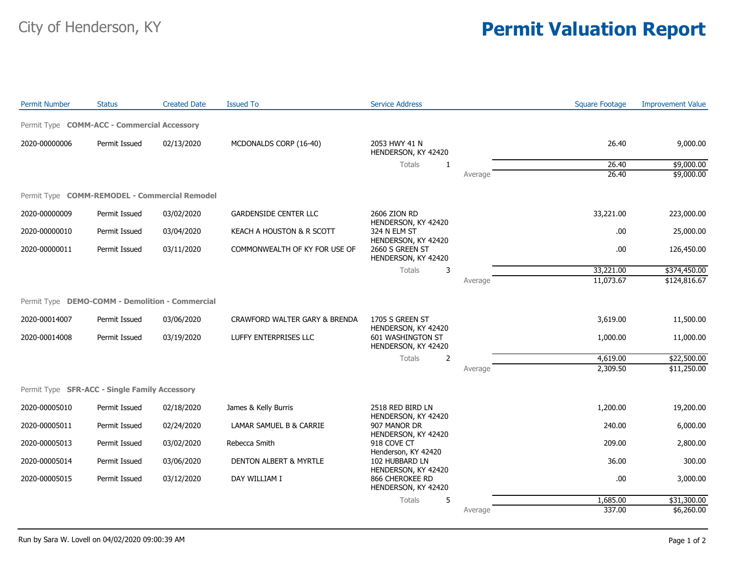## City of Henderson, KY **Permit Valuation Report**

| <b>Permit Number</b>                            | <b>Status</b> | <b>Created Date</b> | <b>Issued To</b>                  | <b>Service Address</b>                                        |         | <b>Square Footage</b> | <b>Improvement Value</b> |
|-------------------------------------------------|---------------|---------------------|-----------------------------------|---------------------------------------------------------------|---------|-----------------------|--------------------------|
| Permit Type COMM-ACC - Commercial Accessory     |               |                     |                                   |                                                               |         |                       |                          |
| 2020-00000006                                   | Permit Issued | 02/13/2020          | MCDONALDS CORP (16-40)            | 2053 HWY 41 N<br>HENDERSON, KY 42420                          |         | 26.40                 | 9,000.00                 |
|                                                 |               |                     |                                   | Totals<br>1                                                   |         | 26.40                 | \$9,000.00               |
|                                                 |               |                     |                                   |                                                               | Average | 26.40                 | \$9,000.00               |
| Permit Type COMM-REMODEL - Commercial Remodel   |               |                     |                                   |                                                               |         |                       |                          |
| 2020-00000009                                   | Permit Issued | 03/02/2020          | <b>GARDENSIDE CENTER LLC</b>      | 2606 ZION RD<br>HENDERSON, KY 42420                           |         | 33,221.00             | 223,000.00               |
| 2020-00000010                                   | Permit Issued | 03/04/2020          | KEACH A HOUSTON & R SCOTT         | 324 N ELM ST                                                  |         | .00                   | 25,000.00                |
| 2020-00000011                                   | Permit Issued | 03/11/2020          | COMMONWEALTH OF KY FOR USE OF     | HENDERSON, KY 42420<br>2660 S GREEN ST<br>HENDERSON, KY 42420 |         | .00                   | 126,450.00               |
|                                                 |               |                     |                                   | <b>Totals</b><br>3                                            |         | 33,221.00             | \$374,450.00             |
|                                                 |               |                     |                                   |                                                               | Average | 11,073.67             | \$124,816.67             |
| Permit Type DEMO-COMM - Demolition - Commercial |               |                     |                                   |                                                               |         |                       |                          |
| 2020-00014007                                   | Permit Issued | 03/06/2020          | CRAWFORD WALTER GARY & BRENDA     | 1705 S GREEN ST<br>HENDERSON, KY 42420                        |         | 3,619.00              | 11,500.00                |
| 2020-00014008                                   | Permit Issued | 03/19/2020          | LUFFY ENTERPRISES LLC             | <b>601 WASHINGTON ST</b><br>HENDERSON, KY 42420               |         | 1,000.00              | 11,000.00                |
|                                                 |               |                     |                                   | $\overline{2}$<br>Totals                                      |         | 4,619.00              | \$22,500.00              |
|                                                 |               |                     |                                   |                                                               | Average | 2,309.50              | \$11,250.00              |
| Permit Type SFR-ACC - Single Family Accessory   |               |                     |                                   |                                                               |         |                       |                          |
|                                                 |               |                     |                                   |                                                               |         |                       |                          |
| 2020-00005010                                   | Permit Issued | 02/18/2020          | James & Kelly Burris              | 2518 RED BIRD LN<br>HENDERSON, KY 42420                       |         | 1,200.00              | 19,200.00                |
| 2020-00005011                                   | Permit Issued | 02/24/2020          | LAMAR SAMUEL B & CARRIE           | 907 MANOR DR<br>HENDERSON, KY 42420                           |         | 240.00                | 6,000.00                 |
| 2020-00005013                                   | Permit Issued | 03/02/2020          | Rebecca Smith                     | 918 COVE CT<br>Henderson, KY 42420                            |         | 209.00                | 2,800.00                 |
| 2020-00005014                                   | Permit Issued | 03/06/2020          | <b>DENTON ALBERT &amp; MYRTLE</b> | 102 HUBBARD LN<br>HENDERSON, KY 42420                         |         | 36.00                 | 300.00                   |
| 2020-00005015                                   | Permit Issued | 03/12/2020          | DAY WILLIAM I                     | 866 CHEROKEE RD<br>HENDERSON, KY 42420                        |         | .00                   | 3,000.00                 |
|                                                 |               |                     |                                   | 5<br>Totals                                                   |         | 1,685.00              | \$31,300.00              |
|                                                 |               |                     |                                   |                                                               | Average | 337.00                | \$6,260.00               |